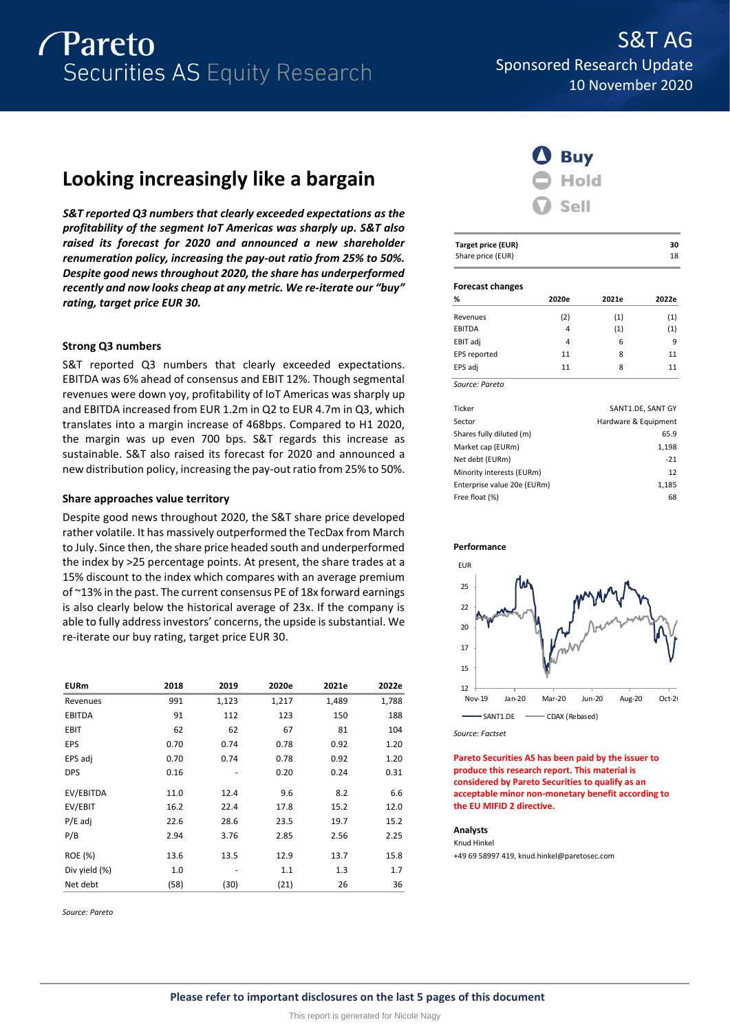

# **Looking increasingly like a bargain**

*S&T reported Q3 numbers that clearly exceeded expectations as the profitability of the segment IoT Americas was sharply up. S&T also raised its forecast for 2020 and announced a new shareholder renumeration policy, increasing the pay-out ratio from 25% to 50%. Despite good news throughout 2020, the share has underperformed recently and now looks cheap at any metric. We re-iterate our "buy" rating, target price EUR 30.*

# **Strong Q3 numbers**

S&T reported Q3 numbers that clearly exceeded expectations. EBITDA was 6% ahead of consensus and EBIT 12%. Though segmental revenues were down yoy, profitability of IoT Americas was sharply up and EBITDA increased from EUR 1.2m in Q2 to EUR 4.7m in Q3, which translates into a margin increase of 468bps. Compared to H1 2020, the margin was up even 700 bps. S&T regards this increase as sustainable. S&T also raised its forecast for 2020 and announced a new distribution policy, increasing the pay-out ratio from 25% to 50%.

# **Share approaches value territory**

Despite good news throughout 2020, the S&T share price developed rather volatile. It has massively outperformed the TecDax from March to July. Since then, the share price headed south and underperformed the index by >25 percentage points. At present, the share trades at a 15% discount to the index which compares with an average premium of ~13% in the past. The current consensus PE of 18x forward earnings is also clearly below the historical average of 23x. If the company is able to fully address investors' concerns, the upside is substantial. We re-iterate our buy rating, target price EUR 30.

| <b>EURm</b>   | 2018 | 2019  | 2020e | 2021e | 2022e |
|---------------|------|-------|-------|-------|-------|
| Revenues      | 991  | 1,123 | 1,217 | 1,489 | 1,788 |
| <b>EBITDA</b> | 91   | 112   | 123   | 150   | 188   |
| EBIT          | 62   | 62    | 67    | 81    | 104   |
| EPS           | 0.70 | 0.74  | 0.78  | 0.92  | 1.20  |
| EPS adj       | 0.70 | 0.74  | 0.78  | 0.92  | 1.20  |
| <b>DPS</b>    | 0.16 |       | 0.20  | 0.24  | 0.31  |
| EV/EBITDA     | 11.0 | 12.4  | 9.6   | 8.2   | 6.6   |
| EV/EBIT       | 16.2 | 22.4  | 17.8  | 15.2  | 12.0  |
| $P/E$ adj     | 22.6 | 28.6  | 23.5  | 19.7  | 15.2  |
| P/B           | 2.94 | 3.76  | 2.85  | 2.56  | 2.25  |
| ROE (%)       | 13.6 | 13.5  | 12.9  | 13.7  | 15.8  |
| Div yield (%) | 1.0  |       | 1.1   | 1.3   | 1.7   |
| Net debt      | (58) | (30)  | (21)  | 26    | 36    |

*Source: Pareto*



| <b>Target price (EUR)</b><br>Share price (EUR) |       |       |                      |  |  |  |  |  |  |
|------------------------------------------------|-------|-------|----------------------|--|--|--|--|--|--|
| <b>Forecast changes</b>                        |       |       |                      |  |  |  |  |  |  |
| %                                              | 2020e | 2021e | 2022e                |  |  |  |  |  |  |
| Revenues                                       | (2)   | (1)   | (1)                  |  |  |  |  |  |  |
| <b>EBITDA</b>                                  | 4     | (1)   | (1)                  |  |  |  |  |  |  |
| EBIT adj                                       | 4     | 6     | 9                    |  |  |  |  |  |  |
| EPS reported                                   | 11    | 8     | 11                   |  |  |  |  |  |  |
| EPS adj                                        | 11    | 8     | 11                   |  |  |  |  |  |  |
| Source: Pareto                                 |       |       |                      |  |  |  |  |  |  |
| Ticker                                         |       |       | SANT1.DE, SANT GY    |  |  |  |  |  |  |
| Sector                                         |       |       | Hardware & Equipment |  |  |  |  |  |  |
| Shares fully diluted (m)                       |       |       | 65.9                 |  |  |  |  |  |  |
| Market cap (EURm)                              |       |       | 1,198                |  |  |  |  |  |  |
| Net debt (EURm)                                |       |       | $-21$                |  |  |  |  |  |  |
| Minority interests (EURm)                      |       |       | 12                   |  |  |  |  |  |  |
| Enterprise value 20e (EURm)                    |       |       | 1,185                |  |  |  |  |  |  |
| Free float (%)                                 |       |       | 68                   |  |  |  |  |  |  |



*Source: Factset*

**Pareto Securities AS has been paid by the issuer to produce this research report. This material is considered by Pareto Securities to qualify as an acceptable minor non-monetary benefit according to the EU MIFID 2 directive.**

### **Analysts** Knud Hinkel

+49 69 58997 419, knud.hinkel@paretosec.com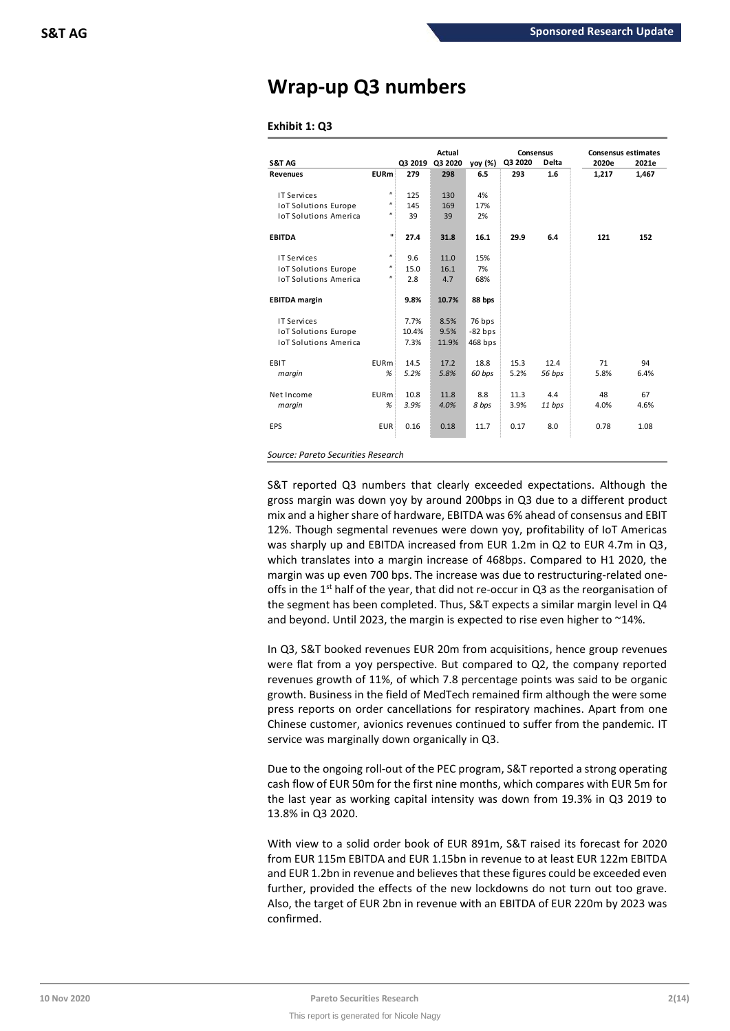# **Wrap-up Q3 numbers**

# **Exhibit 1: Q3**

| S&T AG                       |                           | Q3 2019 | Actual<br>Q3 2020 | yoy (%)   | Q3 2020 | Consensus<br><b>Delta</b> | <b>Consensus estimates</b><br>2020e | 2021e |
|------------------------------|---------------------------|---------|-------------------|-----------|---------|---------------------------|-------------------------------------|-------|
| <b>Revenues</b>              | <b>EURm</b>               | 279     | 298               | 6.5       | 293     | 1.6                       | 1,217                               | 1,467 |
|                              |                           |         |                   |           |         |                           |                                     |       |
| IT Services                  | $\mathbf{u}$              | 125     | 130               | 4%        |         |                           |                                     |       |
| <b>IoT Solutions Europe</b>  | $\mathbf{u}$              | 145     | 169               | 17%       |         |                           |                                     |       |
| <b>IoT Solutions America</b> | $\boldsymbol{\mathsf{H}}$ | 39      | 39                | 2%        |         |                           |                                     |       |
| <b>EBITDA</b>                |                           | 27.4    | 31.8              | 16.1      | 29.9    | 6.4                       | 121                                 | 152   |
| IT Services                  | $\mathbf{u}$              | 9.6     | 11.0              | 15%       |         |                           |                                     |       |
| <b>IoT Solutions Europe</b>  | $\boldsymbol{\mathsf{u}}$ | 15.0    | 16.1              | 7%        |         |                           |                                     |       |
| <b>IoT Solutions America</b> | $\boldsymbol{\mathsf{u}}$ | 2.8     | 4.7               | 68%       |         |                           |                                     |       |
| <b>EBITDA</b> margin         |                           | 9.8%    | 10.7%             | 88 bps    |         |                           |                                     |       |
| IT Services                  |                           | 7.7%    | 8.5%              | 76 bps    |         |                           |                                     |       |
| <b>IoT Solutions Europe</b>  |                           | 10.4%   | 9.5%              | $-82$ bps |         |                           |                                     |       |
| <b>IoT Solutions America</b> |                           | 7.3%    | 11.9%             | 468 bps   |         |                           |                                     |       |
| EBIT                         | <b>EURm</b>               | 14.5    | 17.2              | 18.8      | 15.3    | 12.4                      | 71                                  | 94    |
| margin                       | %                         | 5.2%    | 5.8%              | 60 bps    | 5.2%    | 56 bps                    | 5.8%                                | 6.4%  |
| Net Income                   | <b>EURm</b>               | 10.8    | 11.8              | 8.8       | 11.3    | 4.4                       | 48                                  | 67    |
| margin                       | %                         | 3.9%    | 4.0%              | 8 bps     | 3.9%    | 11 bps                    | 4.0%                                | 4.6%  |
| <b>EPS</b>                   | <b>EUR</b>                | 0.16    | 0.18              | 11.7      | 0.17    | 8.0                       | 0.78                                | 1.08  |

S&T reported Q3 numbers that clearly exceeded expectations. Although the gross margin was down yoy by around 200bps in Q3 due to a different product mix and a higher share of hardware, EBITDA was 6% ahead of consensus and EBIT 12%. Though segmental revenues were down yoy, profitability of IoT Americas was sharply up and EBITDA increased from EUR 1.2m in Q2 to EUR 4.7m in Q3, which translates into a margin increase of 468bps. Compared to H1 2020, the margin was up even 700 bps. The increase was due to restructuring-related oneoffs in the  $1<sup>st</sup>$  half of the year, that did not re-occur in Q3 as the reorganisation of the segment has been completed. Thus, S&T expects a similar margin level in Q4 and beyond. Until 2023, the margin is expected to rise even higher to ~14%.

In Q3, S&T booked revenues EUR 20m from acquisitions, hence group revenues were flat from a yoy perspective. But compared to Q2, the company reported revenues growth of 11%, of which 7.8 percentage points was said to be organic growth. Business in the field of MedTech remained firm although the were some press reports on order cancellations for respiratory machines. Apart from one Chinese customer, avionics revenues continued to suffer from the pandemic. IT service was marginally down organically in Q3.

Due to the ongoing roll-out of the PEC program, S&T reported a strong operating cash flow of EUR 50m for the first nine months, which compares with EUR 5m for the last year as working capital intensity was down from 19.3% in Q3 2019 to 13.8% in Q3 2020.

With view to a solid order book of EUR 891m, S&T raised its forecast for 2020 from EUR 115m EBITDA and EUR 1.15bn in revenue to at least EUR 122m EBITDA and EUR 1.2bn in revenue and believes that these figures could be exceeded even further, provided the effects of the new lockdowns do not turn out too grave. Also, the target of EUR 2bn in revenue with an EBITDA of EUR 220m by 2023 was confirmed.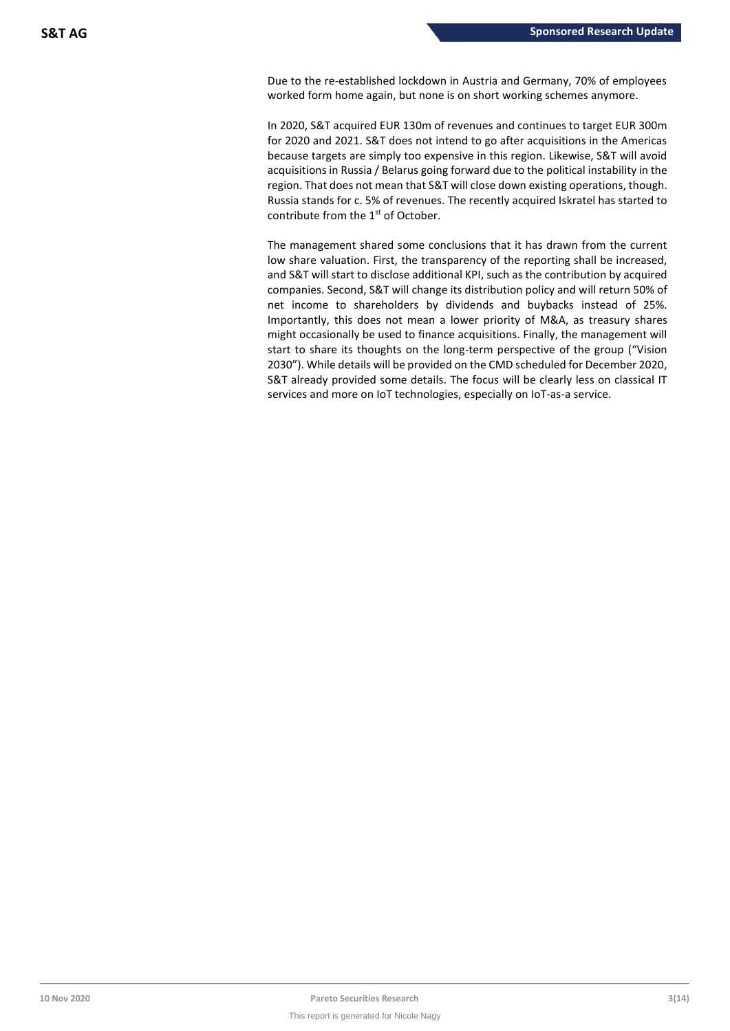Due to the re-established lockdown in Austria and Germany, 70% of employees worked form home again, but none is on short working schemes anymore.

In 2020, S&T acquired EUR 130m of revenues and continues to target EUR 300m for 2020 and 2021. S&T does not intend to go after acquisitions in the Americas because targets are simply too expensive in this region. Likewise, S&T will avoid acquisitions in Russia / Belarus going forward due to the political instability in the region. That does not mean that S&T will close down existing operations, though. Russia stands for c. 5% of revenues. The recently acquired Iskratel has started to contribute from the 1<sup>st</sup> of October.

The management shared some conclusions that it has drawn from the current low share valuation. First, the transparency of the reporting shall be increased, and S&T will start to disclose additional KPI, such as the contribution by acquired companies. Second, S&T will change its distribution policy and will return 50% of net income to shareholders by dividends and buybacks instead of 25%. Importantly, this does not mean a lower priority of M&A, as treasury shares might occasionally be used to finance acquisitions. Finally, the management will start to share its thoughts on the long-term perspective of the group ("Vision 2030"). While details will be provided on the CMD scheduled for December 2020, S&T already provided some details. The focus will be clearly less on classical IT services and more on IoT technologies, especially on IoT-as-a service.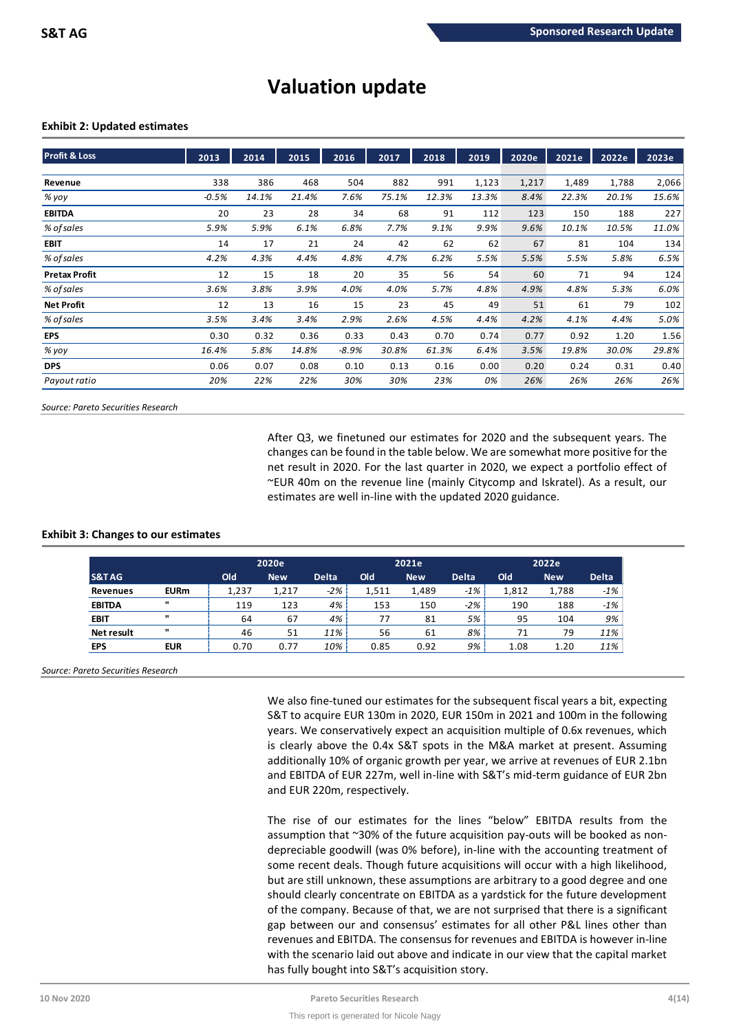# **Valuation update**

# **Exhibit 2: Updated estimates**

| <b>Profit &amp; Loss</b> | 2013    | 2014  | 2015  | 2016    | 2017  | 2018  | 2019  | 2020e | 2021e | 2022e | 2023e |
|--------------------------|---------|-------|-------|---------|-------|-------|-------|-------|-------|-------|-------|
| Revenue                  | 338     | 386   | 468   | 504     | 882   | 991   | 1,123 | 1,217 | 1,489 | 1,788 | 2,066 |
| % yoy                    | $-0.5%$ | 14.1% | 21.4% | 7.6%    | 75.1% | 12.3% | 13.3% | 8.4%  | 22.3% | 20.1% | 15.6% |
| <b>EBITDA</b>            | 20      | 23    | 28    | 34      | 68    | 91    | 112   | 123   | 150   | 188   | 227   |
| % of sales               | 5.9%    | 5.9%  | 6.1%  | 6.8%    | 7.7%  | 9.1%  | 9.9%  | 9.6%  | 10.1% | 10.5% | 11.0% |
| <b>EBIT</b>              | 14      | 17    | 21    | 24      | 42    | 62    | 62    | 67    | 81    | 104   | 134   |
| % of sales               | 4.2%    | 4.3%  | 4.4%  | 4.8%    | 4.7%  | 6.2%  | 5.5%  | 5.5%  | 5.5%  | 5.8%  | 6.5%  |
| <b>Pretax Profit</b>     | 12      | 15    | 18    | 20      | 35    | 56    | 54    | 60    | 71    | 94    | 124   |
| % of sales               | 3.6%    | 3.8%  | 3.9%  | 4.0%    | 4.0%  | 5.7%  | 4.8%  | 4.9%  | 4.8%  | 5.3%  | 6.0%  |
| <b>Net Profit</b>        | 12      | 13    | 16    | 15      | 23    | 45    | 49    | 51    | 61    | 79    | 102   |
| % of sales               | 3.5%    | 3.4%  | 3.4%  | 2.9%    | 2.6%  | 4.5%  | 4.4%  | 4.2%  | 4.1%  | 4.4%  | 5.0%  |
| <b>EPS</b>               | 0.30    | 0.32  | 0.36  | 0.33    | 0.43  | 0.70  | 0.74  | 0.77  | 0.92  | 1.20  | 1.56  |
| % yoy                    | 16.4%   | 5.8%  | 14.8% | $-8.9%$ | 30.8% | 61.3% | 6.4%  | 3.5%  | 19.8% | 30.0% | 29.8% |
| <b>DPS</b>               | 0.06    | 0.07  | 0.08  | 0.10    | 0.13  | 0.16  | 0.00  | 0.20  | 0.24  | 0.31  | 0.40  |
| Payout ratio             | 20%     | 22%   | 22%   | 30%     | 30%   | 23%   | 0%    | 26%   | 26%   | 26%   | 26%   |

*Source: Pareto Securities Research*

After Q3, we finetuned our estimates for 2020 and the subsequent years. The changes can be found in the table below. We are somewhat more positive for the net result in 2020. For the last quarter in 2020, we expect a portfolio effect of ~EUR 40m on the revenue line (mainly Citycomp and Iskratel). As a result, our estimates are well in-line with the updated 2020 guidance.

# **Exhibit 3: Changes to our estimates**

|                   |              | 2020e |            |              |       | 2021e      |              |       | 2022e      |              |  |
|-------------------|--------------|-------|------------|--------------|-------|------------|--------------|-------|------------|--------------|--|
| S&TAG             |              | Old   | <b>New</b> | <b>Delta</b> | Old   | <b>New</b> | <b>Delta</b> | Old   | <b>New</b> | <b>Delta</b> |  |
| Revenues          | <b>EURm</b>  | 1,237 | 1,217      | $-2%$        | 1,511 | 1,489      | $-1\%$       | 1,812 | 1,788      | $-1%$        |  |
| <b>EBITDA</b>     | $\mathbf{u}$ | 119   | 123        | 4%           | 153   | 150        | $-2%$        | 190   | 188        | $-1%$        |  |
| <b>EBIT</b>       | $\mathbf{u}$ | 64    | 67         | 4%           | 77    | 81         | 5%           | 95    | 104        | 9%           |  |
| <b>Net result</b> | $\mathbf{u}$ | 46    | 51         | 11%          | 56    | 61         | 8%           | 71    | 79         | 11%          |  |
| <b>EPS</b>        | <b>EUR</b>   | 0.70  | 0.77       | 10%          | 0.85  | 0.92       | 9%           | 1.08  | 1.20       | 11%          |  |

*Source: Pareto Securities Research*

We also fine-tuned our estimates for the subsequent fiscal years a bit, expecting S&T to acquire EUR 130m in 2020, EUR 150m in 2021 and 100m in the following years. We conservatively expect an acquisition multiple of 0.6x revenues, which is clearly above the 0.4x S&T spots in the M&A market at present. Assuming additionally 10% of organic growth per year, we arrive at revenues of EUR 2.1bn and EBITDA of EUR 227m, well in-line with S&T's mid-term guidance of EUR 2bn and EUR 220m, respectively.

The rise of our estimates for the lines "below" EBITDA results from the assumption that ~30% of the future acquisition pay-outs will be booked as nondepreciable goodwill (was 0% before), in-line with the accounting treatment of some recent deals. Though future acquisitions will occur with a high likelihood, but are still unknown, these assumptions are arbitrary to a good degree and one should clearly concentrate on EBITDA as a yardstick for the future development of the company. Because of that, we are not surprised that there is a significant gap between our and consensus' estimates for all other P&L lines other than revenues and EBITDA. The consensus for revenues and EBITDA is however in-line with the scenario laid out above and indicate in our view that the capital market has fully bought into S&T's acquisition story.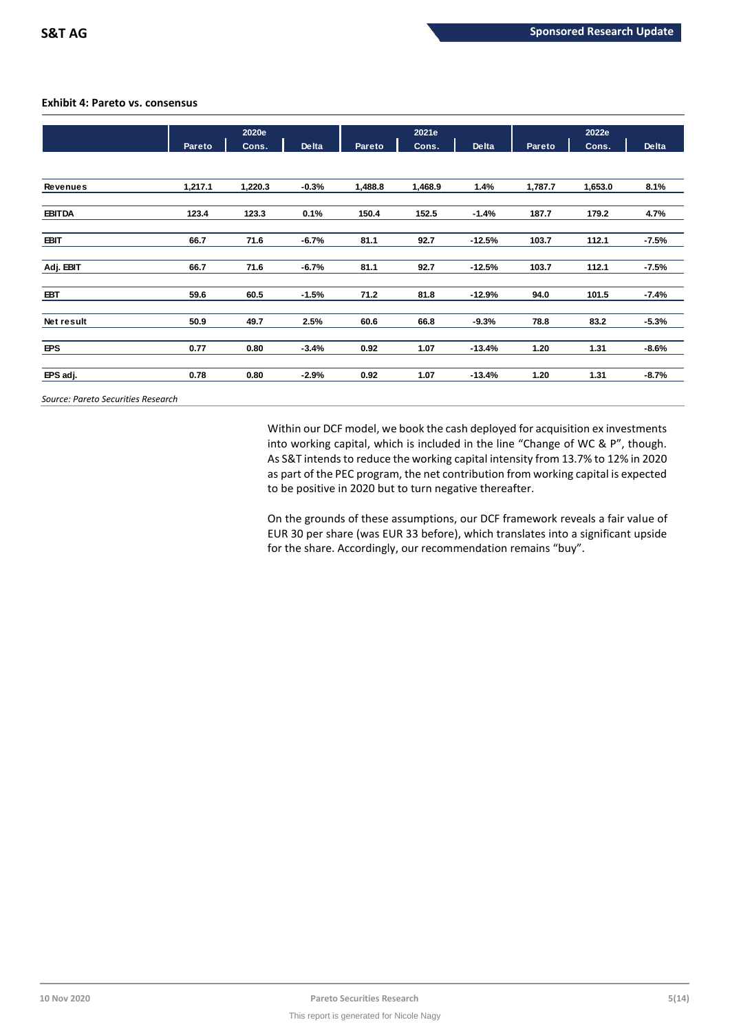# **Exhibit 4: Pareto vs. consensus**

|                                    | 2021e<br>2020e |         |         | 2022e   |         |          |         |         |         |
|------------------------------------|----------------|---------|---------|---------|---------|----------|---------|---------|---------|
|                                    | Pareto         | Cons.   | Delta   | Pareto  | Cons.   | Delta    | Pareto  | Cons.   | Delta   |
|                                    |                |         |         |         |         |          |         |         |         |
| <b>Revenues</b>                    | 1,217.1        | 1,220.3 | $-0.3%$ | 1,488.8 | 1,468.9 | 1.4%     | 1,787.7 | 1,653.0 | 8.1%    |
| <b>EBITDA</b>                      | 123.4          | 123.3   | 0.1%    | 150.4   | 152.5   | $-1.4%$  | 187.7   | 179.2   | 4.7%    |
| <b>EBIT</b>                        | 66.7           | 71.6    | $-6.7%$ | 81.1    | 92.7    | $-12.5%$ | 103.7   | 112.1   | $-7.5%$ |
| Adj. EBIT                          | 66.7           | 71.6    | $-6.7%$ | 81.1    | 92.7    | $-12.5%$ | 103.7   | 112.1   | $-7.5%$ |
| EBT                                | 59.6           | 60.5    | $-1.5%$ | 71.2    | 81.8    | $-12.9%$ | 94.0    | 101.5   | $-7.4%$ |
| Net result                         | 50.9           | 49.7    | 2.5%    | 60.6    | 66.8    | $-9.3%$  | 78.8    | 83.2    | $-5.3%$ |
| <b>EPS</b>                         | 0.77           | 0.80    | $-3.4%$ | 0.92    | 1.07    | $-13.4%$ | 1.20    | 1.31    | $-8.6%$ |
| EPS adj.                           | 0.78           | 0.80    | $-2.9%$ | 0.92    | 1.07    | $-13.4%$ | 1.20    | 1.31    | $-8.7%$ |
| Source: Pareto Securities Research |                |         |         |         |         |          |         |         |         |

Within our DCF model, we book the cash deployed for acquisition ex investments into working capital, which is included in the line "Change of WC & P", though. As S&T intends to reduce the working capital intensity from 13.7% to 12% in 2020 as part of the PEC program, the net contribution from working capital is expected to be positive in 2020 but to turn negative thereafter.

On the grounds of these assumptions, our DCF framework reveals a fair value of EUR 30 per share (was EUR 33 before), which translates into a significant upside for the share. Accordingly, our recommendation remains "buy".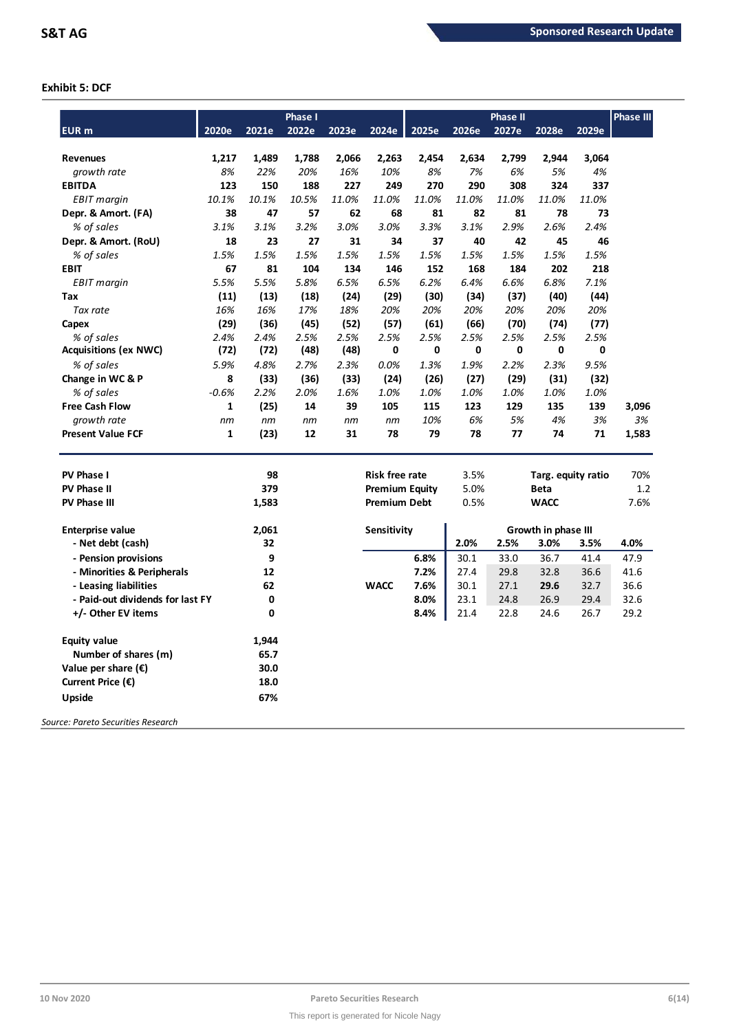# **Exhibit 5: DCF**

|                                              |              |             | Phase I     |              |                       |             |             | <b>Phase II</b> |                             |             | <b>Phase III</b> |
|----------------------------------------------|--------------|-------------|-------------|--------------|-----------------------|-------------|-------------|-----------------|-----------------------------|-------------|------------------|
| <b>EUR</b> m                                 | 2020e        | 2021e       | 2022e       | 2023e        | 2024e                 | 2025e       | 2026e       | 2027e           | 2028e                       | 2029e       |                  |
|                                              |              |             |             |              |                       |             |             |                 |                             |             |                  |
| <b>Revenues</b>                              | 1,217        | 1,489       | 1,788       | 2,066<br>16% | 2,263<br>10%          | 2,454<br>8% | 2,634<br>7% | 2,799<br>6%     | 2,944<br>5%                 | 3,064<br>4% |                  |
| growth rate<br><b>EBITDA</b>                 | 8%<br>123    | 22%<br>150  | 20%<br>188  | 227          | 249                   | 270         | 290         | 308             | 324                         | 337         |                  |
|                                              |              |             |             |              |                       |             |             |                 |                             |             |                  |
| EBIT margin                                  | 10.1%<br>38  | 10.1%<br>47 | 10.5%<br>57 | 11.0%<br>62  | 11.0%<br>68           | 11.0%<br>81 | 11.0%<br>82 | 11.0%<br>81     | 11.0%<br>78                 | 11.0%<br>73 |                  |
| Depr. & Amort. (FA)                          | 3.1%         | 3.1%        |             | 3.0%         |                       | 3.3%        | 3.1%        | 2.9%            | 2.6%                        | 2.4%        |                  |
| % of sales                                   |              |             | 3.2%        |              | 3.0%                  |             |             |                 |                             |             |                  |
| Depr. & Amort. (RoU)                         | 18           | 23          | 27          | 31           | 34                    | 37          | 40          | 42              | 45                          | 46          |                  |
| % of sales                                   | 1.5%         | 1.5%        | 1.5%        | 1.5%         | 1.5%                  | 1.5%        | 1.5%        | 1.5%            | 1.5%                        | 1.5%        |                  |
| <b>EBIT</b>                                  | 67           | 81          | 104         | 134          | 146                   | 152         | 168         | 184             | 202                         | 218         |                  |
| <b>EBIT</b> margin                           | 5.5%         | 5.5%        | 5.8%        | 6.5%         | 6.5%                  | 6.2%        | 6.4%        | 6.6%            | 6.8%                        | 7.1%        |                  |
| Tax                                          | (11)         | (13)        | (18)        | (24)         | (29)                  | (30)        | (34)        | (37)            | (40)                        | (44)        |                  |
| Tax rate                                     | 16%          | 16%         | 17%         | 18%          | 20%                   | 20%         | 20%         | 20%             | 20%                         | 20%         |                  |
| Capex                                        | (29)         | (36)        | (45)        | (52)         | (57)                  | (61)        | (66)        | (70)            | (74)                        | (77)        |                  |
| % of sales                                   | 2.4%         | 2.4%        | 2.5%        | 2.5%         | 2.5%                  | 2.5%        | 2.5%        | 2.5%            | 2.5%                        | 2.5%        |                  |
| <b>Acquisitions (ex NWC)</b>                 | (72)         | (72)        | (48)        | (48)         | 0                     | 0           | 0           | 0               | 0                           | 0           |                  |
| % of sales                                   | 5.9%         | 4.8%        | 2.7%        | 2.3%         | 0.0%                  | 1.3%        | 1.9%        | 2.2%            | 2.3%                        | 9.5%        |                  |
| Change in WC & P                             | 8            | (33)        | (36)        | (33)         | (24)                  | (26)        | (27)        | (29)            | (31)                        | (32)        |                  |
| % of sales                                   | $-0.6%$      | 2.2%        | 2.0%        | 1.6%         | 1.0%                  | 1.0%        | 1.0%        | 1.0%            | 1.0%                        | 1.0%        |                  |
| <b>Free Cash Flow</b>                        | $\mathbf{1}$ | (25)        | 14          | 39           | 105                   | 115         | 123         | 129             | 135                         | 139         | 3,096            |
| growth rate                                  | nm           | nm          | nm          | nm           | nm                    | 10%         | 6%          | 5%              | 4%                          | 3%          | 3%               |
| <b>Present Value FCF</b>                     | 1            | (23)        | 12          | 31           | 78                    | 79          | 78          | 77              | 74                          | 71          | 1,583            |
| <b>PV Phase I</b>                            |              | 98          |             |              | <b>Risk free rate</b> |             | 3.5%        |                 | Targ. equity ratio          |             | 70%              |
| <b>PV Phase II</b>                           |              | 379         |             |              | <b>Premium Equity</b> |             | 5.0%        |                 | <b>Beta</b>                 |             | 1.2              |
| <b>PV Phase III</b>                          |              | 1,583       |             |              | <b>Premium Debt</b>   |             | 0.5%        |                 | <b>WACC</b>                 |             | 7.6%             |
|                                              |              |             |             |              |                       |             |             |                 |                             |             |                  |
| <b>Enterprise value</b><br>- Net debt (cash) |              | 2,061<br>32 |             |              | <b>Sensitivity</b>    |             | 2.0%        | 2.5%            | Growth in phase III<br>3.0% | 3.5%        | 4.0%             |
| - Pension provisions                         |              | 9           |             |              |                       | 6.8%        | 30.1        | 33.0            | 36.7                        | 41.4        | 47.9             |
| - Minorities & Peripherals                   |              | 12          |             |              |                       | 7.2%        | 27.4        | 29.8            | 32.8                        | 36.6        | 41.6             |
| - Leasing liabilities                        |              | 62          |             |              | <b>WACC</b>           | 7.6%        | 30.1        | 27.1            | 29.6                        | 32.7        | 36.6             |
| - Paid-out dividends for last FY             |              | 0           |             |              |                       | 8.0%        | 23.1        | 24.8            | 26.9                        | 29.4        | 32.6             |
| +/- Other EV items                           |              | 0           |             |              |                       | 8.4%        | 21.4        | 22.8            | 24.6                        | 26.7        | 29.2             |
|                                              |              |             |             |              |                       |             |             |                 |                             |             |                  |
| <b>Equity value</b>                          |              | 1,944       |             |              |                       |             |             |                 |                             |             |                  |
| Number of shares (m)                         |              | 65.7        |             |              |                       |             |             |                 |                             |             |                  |
| Value per share $(\epsilon)$                 |              | 30.0        |             |              |                       |             |             |                 |                             |             |                  |
| Current Price $(\epsilon)$                   |              | 18.0        |             |              |                       |             |             |                 |                             |             |                  |
| Upside                                       |              | 67%         |             |              |                       |             |             |                 |                             |             |                  |
| Source: Pareto Securities Research           |              |             |             |              |                       |             |             |                 |                             |             |                  |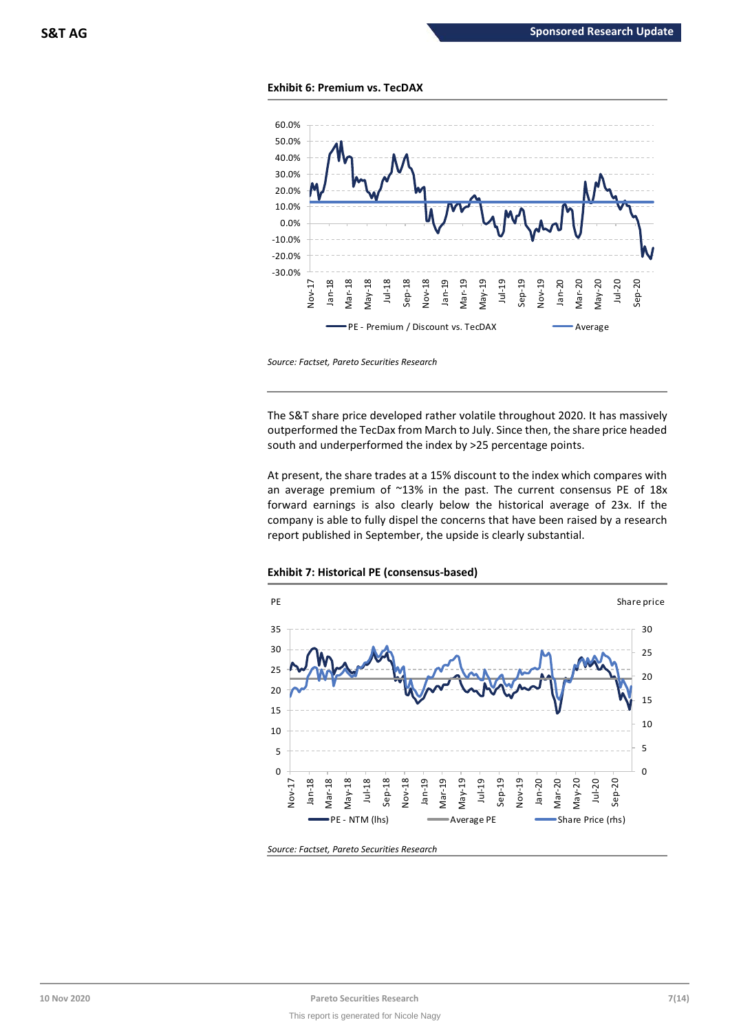



*Source: Factset, Pareto Securities Research*

The S&T share price developed rather volatile throughout 2020. It has massively outperformed the TecDax from March to July. Since then, the share price headed south and underperformed the index by >25 percentage points.

At present, the share trades at a 15% discount to the index which compares with an average premium of  $^{\sim}13\%$  in the past. The current consensus PE of 18x forward earnings is also clearly below the historical average of 23x. If the company is able to fully dispel the concerns that have been raised by a research report published in September, the upside is clearly substantial.



# **Exhibit 7: Historical PE (consensus-based)**

*Source: Factset, Pareto Securities Research*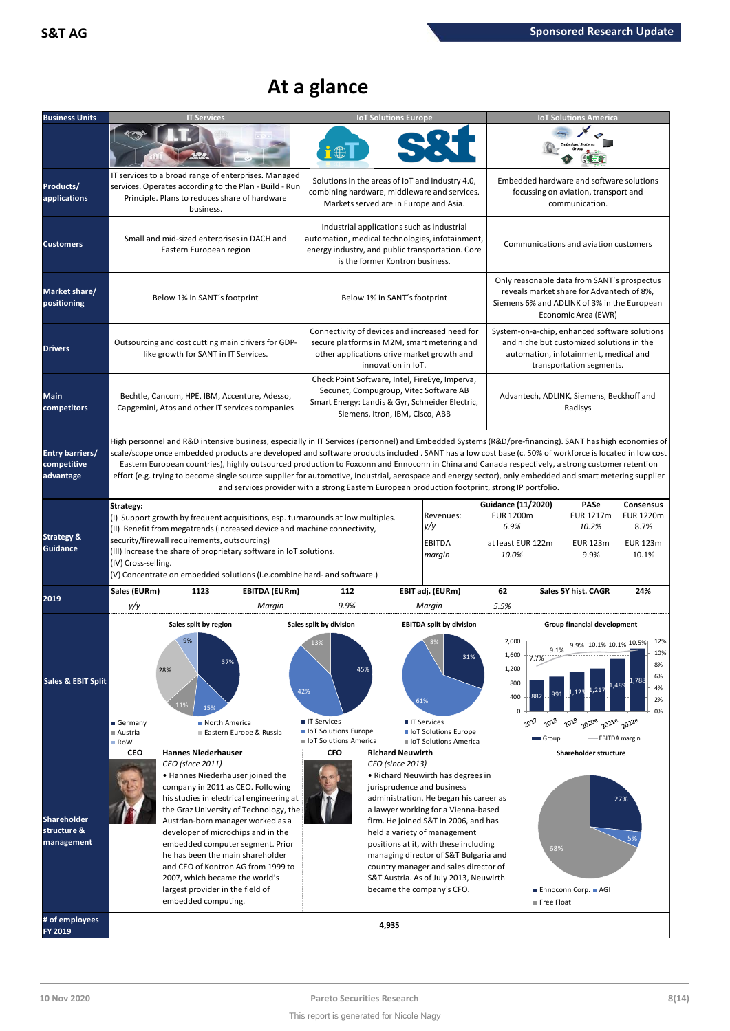# **At a glance**

| <b>Business Units</b>                              | <b>IT Services</b>                                                                                                                                                                                                                                                                                                                                                                                                                                                                                                                                                                                                             |                                                                                                                                                   | <b>IoT Solutions Europe</b>                 |                                                                                                                                                                                                                                                                                                                                                                                                                            |                                                                                     |                                                                                                                                                                 | <b>IoT Solutions America</b>                                                                |                                                                   |
|----------------------------------------------------|--------------------------------------------------------------------------------------------------------------------------------------------------------------------------------------------------------------------------------------------------------------------------------------------------------------------------------------------------------------------------------------------------------------------------------------------------------------------------------------------------------------------------------------------------------------------------------------------------------------------------------|---------------------------------------------------------------------------------------------------------------------------------------------------|---------------------------------------------|----------------------------------------------------------------------------------------------------------------------------------------------------------------------------------------------------------------------------------------------------------------------------------------------------------------------------------------------------------------------------------------------------------------------------|-------------------------------------------------------------------------------------|-----------------------------------------------------------------------------------------------------------------------------------------------------------------|---------------------------------------------------------------------------------------------|-------------------------------------------------------------------|
|                                                    |                                                                                                                                                                                                                                                                                                                                                                                                                                                                                                                                                                                                                                |                                                                                                                                                   |                                             |                                                                                                                                                                                                                                                                                                                                                                                                                            |                                                                                     |                                                                                                                                                                 |                                                                                             |                                                                   |
| Products/<br>applications                          | IT services to a broad range of enterprises. Managed<br>services. Operates according to the Plan - Build - Run<br>Principle. Plans to reduces share of hardware<br>business.                                                                                                                                                                                                                                                                                                                                                                                                                                                   | Solutions in the areas of IoT and Industry 4.0,<br>combining hardware, middleware and services.<br>Markets served are in Europe and Asia.         |                                             |                                                                                                                                                                                                                                                                                                                                                                                                                            |                                                                                     | Embedded hardware and software solutions<br>focussing on aviation, transport and                                                                                | communication.                                                                              |                                                                   |
| <b>Customers</b>                                   | Small and mid-sized enterprises in DACH and<br>Eastern European region                                                                                                                                                                                                                                                                                                                                                                                                                                                                                                                                                         | Industrial applications such as industrial<br>automation, medical technologies, infotainment,<br>energy industry, and public transportation. Core | is the former Kontron business.             |                                                                                                                                                                                                                                                                                                                                                                                                                            |                                                                                     | Communications and aviation customers                                                                                                                           |                                                                                             |                                                                   |
| Market share/<br>positioning                       | Below 1% in SANT's footprint                                                                                                                                                                                                                                                                                                                                                                                                                                                                                                                                                                                                   |                                                                                                                                                   | Below 1% in SANT's footprint                |                                                                                                                                                                                                                                                                                                                                                                                                                            |                                                                                     | Only reasonable data from SANT's prospectus<br>reveals market share for Advantech of 8%,<br>Siemens 6% and ADLINK of 3% in the European                         | Economic Area (EWR)                                                                         |                                                                   |
| <b>Drivers</b>                                     | Outsourcing and cost cutting main drivers for GDP-<br>like growth for SANT in IT Services.                                                                                                                                                                                                                                                                                                                                                                                                                                                                                                                                     | Connectivity of devices and increased need for<br>secure platforms in M2M, smart metering and<br>other applications drive market growth and       | innovation in IoT.                          |                                                                                                                                                                                                                                                                                                                                                                                                                            |                                                                                     | System-on-a-chip, enhanced software solutions<br>and niche but customized solutions in the<br>automation, infotainment, medical and<br>transportation segments. |                                                                                             |                                                                   |
| Main<br>competitors                                | Bechtle, Cancom, HPE, IBM, Accenture, Adesso,<br>Capgemini, Atos and other IT services companies                                                                                                                                                                                                                                                                                                                                                                                                                                                                                                                               | Check Point Software, Intel, FireEye, Imperva,<br>Secunet, Compugroup, Vitec Software AB<br>Smart Energy: Landis & Gyr, Schneider Electric,       | Siemens, Itron, IBM, Cisco, ABB             |                                                                                                                                                                                                                                                                                                                                                                                                                            |                                                                                     | Advantech, ADLINK, Siemens, Beckhoff and                                                                                                                        | Radisys                                                                                     |                                                                   |
| <b>Entry barriers/</b><br>competitive<br>advantage | High personnel and R&D intensive business, especially in IT Services (personnel) and Embedded Systems (R&D/pre-financing). SANT has high economies of<br>scale/scope once embedded products are developed and software products included . SANT has a low cost base (c. 50% of workforce is located in low cost<br>Eastern European countries), highly outsourced production to Foxconn and Ennoconn in China and Canada respectively, a strong customer retention<br>effort (e.g. trying to become single source supplier for automotive, industrial, aerospace and energy sector), only embedded and smart metering supplier | and services provider with a strong Eastern European production footprint, strong IP portfolio.                                                   |                                             |                                                                                                                                                                                                                                                                                                                                                                                                                            |                                                                                     |                                                                                                                                                                 |                                                                                             |                                                                   |
| <b>Strategy &amp;</b><br>Guidance                  | Strategy:<br>(I) Support growth by frequent acquisitions, esp. turnarounds at low multiples.<br>(II) Benefit from megatrends (increased device and machine connectivity,<br>security/firewall requirements, outsourcing)<br>(III) Increase the share of proprietary software in IoT solutions.<br>(IV) Cross-selling.<br>(V) Concentrate on embedded solutions (i.e.combine hard- and software.)                                                                                                                                                                                                                               |                                                                                                                                                   |                                             | Revenues:<br>y/y<br><b>EBITDA</b><br>margin                                                                                                                                                                                                                                                                                                                                                                                | <b>Guidance (11/2020)</b><br><b>EUR 1200m</b><br>6.9%<br>at least EUR 122m<br>10.0% |                                                                                                                                                                 | <b>PASe</b><br><b>EUR 1217m</b><br>10.2%<br><b>EUR 123m</b><br>9.9%                         | Consensus<br><b>EUR 1220m</b><br>8.7%<br><b>EUR 123m</b><br>10.1% |
| 2019                                               | <b>EBITDA (EURm)</b><br>Sales (EURm)<br>1123<br>y/y<br>Margin                                                                                                                                                                                                                                                                                                                                                                                                                                                                                                                                                                  | 112<br>9.9%                                                                                                                                       |                                             | EBIT adj. (EURm)<br>Margin                                                                                                                                                                                                                                                                                                                                                                                                 | 62<br>5.5%                                                                          | Sales 5Y hist. CAGR                                                                                                                                             |                                                                                             | 24%                                                               |
| <b>Sales &amp; EBIT Split</b>                      | Sales split by region<br>9%<br>37%<br>28%<br>11%<br>15%<br>Germany<br>North America                                                                                                                                                                                                                                                                                                                                                                                                                                                                                                                                            | Sales split by division<br>13%<br>45%<br>42%<br>■ IT Services                                                                                     | 61%                                         | <b>EBITDA split by division</b><br><b>TI Services</b>                                                                                                                                                                                                                                                                                                                                                                      | 2,000<br>1,600<br>1,200<br>800<br>400<br>$\Omega$                                   | 7.7%<br>991<br>882<br>2017<br>2018                                                                                                                              | Group financial development<br>9.1% 9.9% 10.1% 10.1% 10.5%<br>21.<br>2019 2020e 2021e 2022e | 12%<br>10%<br>8%<br>6%<br>788<br>4%<br>2%<br>0%                   |
|                                                    | Austria<br>Eastern Europe & Russia<br>RoW                                                                                                                                                                                                                                                                                                                                                                                                                                                                                                                                                                                      | loT Solutions Europe<br>loT Solutions America                                                                                                     |                                             | loT Solutions Europe<br>loT Solutions America                                                                                                                                                                                                                                                                                                                                                                              |                                                                                     | Group                                                                                                                                                           |                                                                                             | <b>EBITDA</b> margin                                              |
| <b>Shareholder</b><br>structure &<br>management    | CEO<br><b>Hannes Niederhauser</b><br>CEO (since 2011)<br>• Hannes Niederhauser joined the<br>company in 2011 as CEO. Following<br>his studies in electrical engineering at<br>the Graz University of Technology, the<br>Austrian-born manager worked as a<br>developer of microchips and in the<br>embedded computer segment. Prior<br>he has been the main shareholder<br>and CEO of Kontron AG from 1999 to<br>2007, which became the world's<br>largest provider in the field of<br>embedded computing.                                                                                                                     | <b>CFO</b>                                                                                                                                        | <b>Richard Neuwirth</b><br>CFO (since 2013) | • Richard Neuwirth has degrees in<br>jurisprudence and business<br>administration. He began his career as<br>a lawyer working for a Vienna-based<br>firm. He joined S&T in 2006, and has<br>held a variety of management<br>positions at it, with these including<br>managing director of S&T Bulgaria and<br>country manager and sales director of<br>S&T Austria. As of July 2013, Neuwirth<br>became the company's CFO. |                                                                                     | 68%<br>■ Ennoconn Corp. ■ AGI<br>Free Float                                                                                                                     | <b>Shareholder structure</b>                                                                | 27%<br>5%                                                         |
| # of employees<br>FY 2019                          |                                                                                                                                                                                                                                                                                                                                                                                                                                                                                                                                                                                                                                |                                                                                                                                                   | 4,935                                       |                                                                                                                                                                                                                                                                                                                                                                                                                            |                                                                                     |                                                                                                                                                                 |                                                                                             |                                                                   |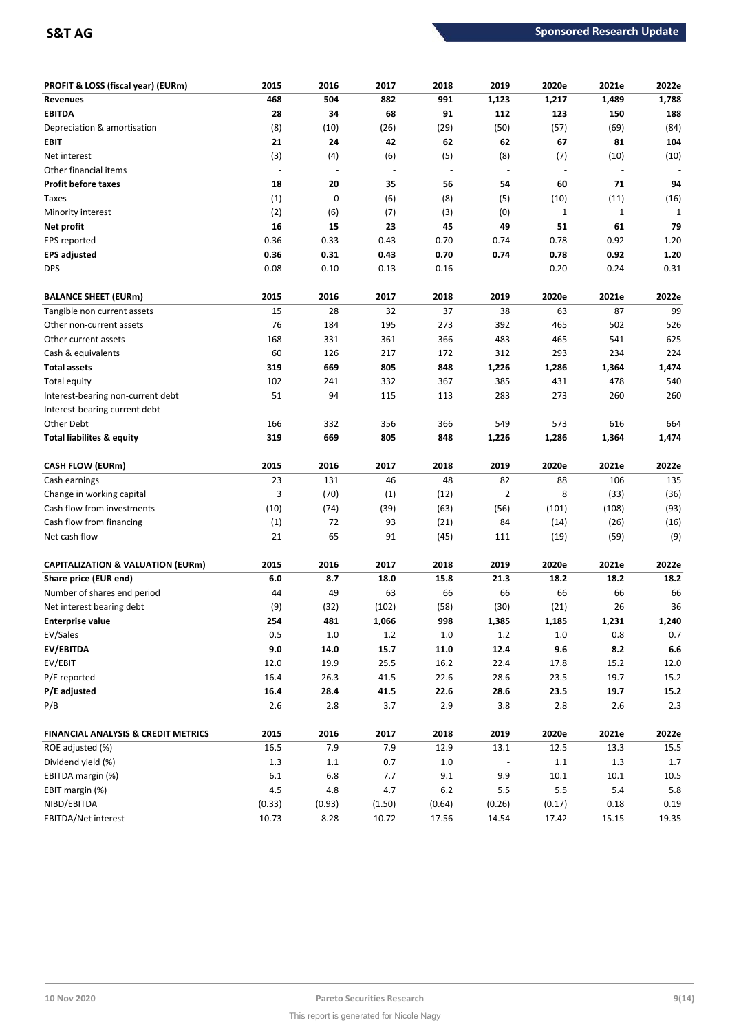| PROFIT & LOSS (fiscal year) (EURm)             | 2015    | 2016                     | 2017                     | 2018                     | 2019           | 2020e          | 2021e                    | 2022e     |
|------------------------------------------------|---------|--------------------------|--------------------------|--------------------------|----------------|----------------|--------------------------|-----------|
| <b>Revenues</b>                                | 468     | 504                      | 882                      | 991                      | 1,123          | 1,217          | 1,489                    | 1,788     |
| <b>EBITDA</b>                                  | 28      | 34                       | 68                       | 91                       | 112            | 123            | 150                      | 188       |
| Depreciation & amortisation                    | (8)     | (10)                     | (26)                     | (29)                     | (50)           | (57)           | (69)                     | (84)      |
| EBIT                                           | 21      | 24                       | 42                       | 62                       | 62             | 67             | 81                       | 104       |
| Net interest                                   | (3)     | (4)                      | (6)                      | (5)                      | (8)            | (7)            | (10)                     | (10)      |
| Other financial items                          | $\sim$  | $\overline{\phantom{a}}$ | $\overline{\phantom{a}}$ | $\sim$                   | $\blacksquare$ | $\blacksquare$ | $\overline{\phantom{a}}$ |           |
| <b>Profit before taxes</b>                     | 18      | 20                       | 35                       | 56                       | 54             | 60             | 71                       | 94        |
| Taxes                                          | (1)     | 0                        | (6)                      | (8)                      | (5)            | (10)           | (11)                     | (16)      |
| Minority interest                              | (2)     | (6)                      | (7)                      | (3)                      | (0)            | $\mathbf{1}$   | $\mathbf{1}$             | 1         |
| Net profit                                     | 16      | 15                       | 23                       | 45                       | 49             | 51             | 61                       | 79        |
| EPS reported                                   | 0.36    | 0.33                     | 0.43                     | 0.70                     | 0.74           | 0.78           | 0.92                     | 1.20      |
| <b>EPS adjusted</b>                            | 0.36    | 0.31                     | 0.43                     | 0.70                     | 0.74           | 0.78           | 0.92                     | 1.20      |
| <b>DPS</b>                                     | 0.08    | 0.10                     | 0.13                     | 0.16                     |                | 0.20           | 0.24                     | 0.31      |
| <b>BALANCE SHEET (EURm)</b>                    | 2015    | 2016                     | 2017                     | 2018                     | 2019           | 2020e          | 2021e                    | 2022e     |
| Tangible non current assets                    | 15      | 28                       | 32                       | 37                       | 38             | 63             | 87                       | 99        |
| Other non-current assets                       | 76      | 184                      | 195                      | 273                      | 392            | 465            | 502                      | 526       |
| Other current assets                           | 168     | 331                      | 361                      | 366                      | 483            | 465            | 541                      | 625       |
| Cash & equivalents                             | 60      | 126                      | 217                      | 172                      | 312            | 293            | 234                      | 224       |
| <b>Total assets</b>                            | 319     | 669                      | 805                      | 848                      | 1,226          | 1,286          | 1,364                    | 1,474     |
| <b>Total equity</b>                            | 102     | 241                      | 332                      | 367                      | 385            | 431            | 478                      | 540       |
| Interest-bearing non-current debt              | 51      | 94                       | 115                      | 113                      | 283            | 273            | 260                      | 260       |
| Interest-bearing current debt                  |         |                          |                          | $\overline{\phantom{a}}$ |                |                |                          |           |
| Other Debt                                     | 166     | 332                      | 356                      | 366                      | 549            | 573            | 616                      | 664       |
| Total liabilites & equity                      | 319     | 669                      | 805                      | 848                      | 1,226          | 1,286          | 1,364                    | 1,474     |
| <b>CASH FLOW (EURm)</b>                        | 2015    | 2016                     | 2017                     | 2018                     | 2019           | 2020e          | 2021e                    | 2022e     |
| Cash earnings                                  | 23      | 131                      | 46                       | 48                       | 82             | 88             | 106                      | 135       |
| Change in working capital                      | 3       | (70)                     | (1)                      | (12)                     | $\overline{2}$ | 8              | (33)                     | (36)      |
| Cash flow from investments                     | (10)    | (74)                     | (39)                     | (63)                     | (56)           | (101)          | (108)                    | (93)      |
| Cash flow from financing                       | (1)     | 72                       | 93                       | (21)                     | 84             | (14)           | (26)                     | (16)      |
| Net cash flow                                  | 21      | 65                       | 91                       | (45)                     | 111            | (19)           | (59)                     | (9)       |
| <b>CAPITALIZATION &amp; VALUATION (EURm)</b>   | 2015    | 2016                     | 2017                     | 2018                     | 2019           | 2020e          | 2021e                    | 2022e     |
| Share price (EUR end)                          | 6.0     | 8.7                      | 18.0                     | 15.8                     | 21.3           | 18.2           | 18.2                     | 18.2      |
| Number of shares end period                    | 44      | 49                       | 63                       | 66                       | 66             | 66             | 66                       | 66        |
| Net interest bearing debt                      | (9)     | (32)                     | (102)                    | (58)                     | (30)           | (21)           | 26                       | 36        |
| <b>Enterprise value</b>                        | 254     | 481                      | 1,066                    | 998                      | 1,385          | 1,185          | 1,231                    | 1,240     |
| EV/Sales                                       | $0.5\,$ | $1.0\,$                  | $1.2\,$                  | $1.0$                    | $1.2\,$        | $1.0\,$        | 0.8                      | $0.7\,$   |
| <b>EV/EBITDA</b>                               | $9.0\,$ | 14.0                     | 15.7                     | 11.0                     | 12.4           | 9.6            | 8.2                      | $\bf 6.6$ |
| EV/EBIT                                        | 12.0    | 19.9                     | $25.5\,$                 | 16.2                     | 22.4           | 17.8           | 15.2                     | 12.0      |
| P/E reported                                   | 16.4    | 26.3                     | 41.5                     | 22.6                     | 28.6           | 23.5           | 19.7                     | 15.2      |
| P/E adjusted                                   | 16.4    | 28.4                     | 41.5                     | 22.6                     | 28.6           | 23.5           | 19.7                     | 15.2      |
| P/B                                            | $2.6\,$ | $2.8$                    | 3.7                      | 2.9                      | 3.8            | $2.8$          | 2.6                      | 2.3       |
| <b>FINANCIAL ANALYSIS &amp; CREDIT METRICS</b> | 2015    | 2016                     | 2017                     | 2018                     | 2019           | 2020e          | 2021e                    | 2022e     |
| ROE adjusted (%)                               | 16.5    | 7.9                      | 7.9                      | 12.9                     | 13.1           | 12.5           | 13.3                     | 15.5      |
| Dividend yield (%)                             | $1.3\,$ | $1.1\,$                  | 0.7                      | $1.0\,$                  |                | $1.1\,$        | 1.3                      | 1.7       |
| EBITDA margin (%)                              | $6.1\,$ | $6.8\,$                  | 7.7                      | 9.1                      | 9.9            | 10.1           | 10.1                     | 10.5      |
| EBIT margin (%)                                | $4.5\,$ | 4.8                      | 4.7                      | $6.2$                    | $5.5\,$        | $5.5\,$        | 5.4                      | 5.8       |
| NIBD/EBITDA                                    | (0.33)  | (0.93)                   | (1.50)                   | (0.64)                   | (0.26)         | (0.17)         | 0.18                     | 0.19      |
| EBITDA/Net interest                            | 10.73   | 8.28                     | 10.72                    | 17.56                    | 14.54          | 17.42          | 15.15                    | 19.35     |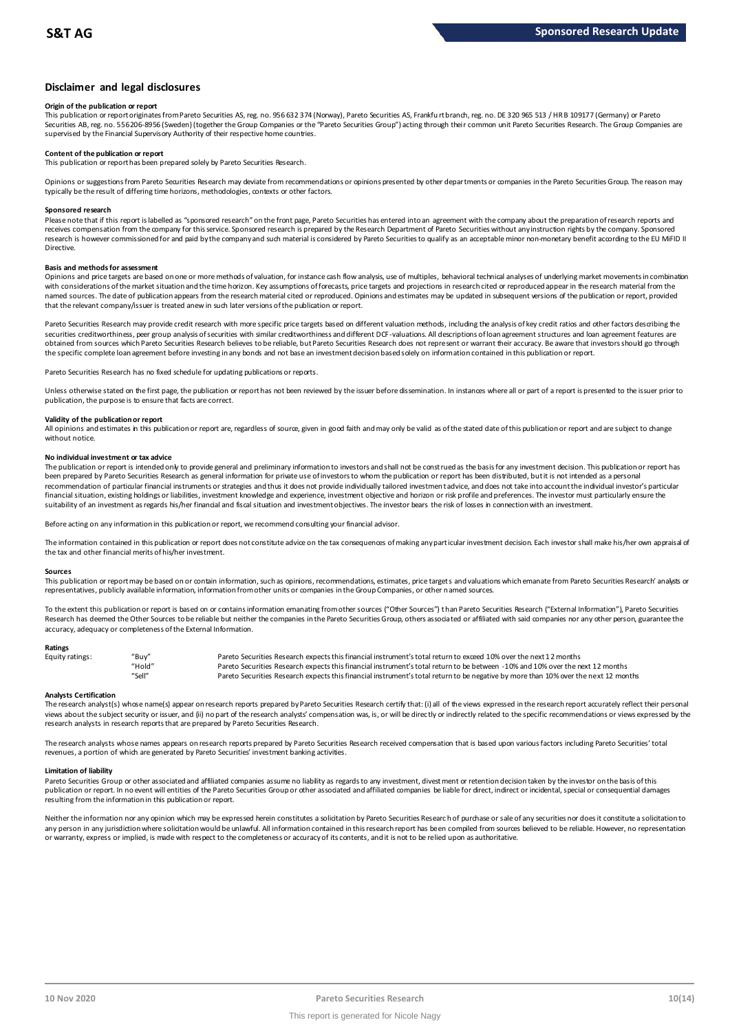# **Disclaimer and legal disclosures**

### **Origin of the publication or report**

This publication or report originates from Pareto Securities AS, reg. no. 956 632 374 (Norway), Pareto Securities AS, Frankfu rt branch, reg. no. DE 320 965 513 / HR B 109177 (Germany) or Pareto Securities AB, reg. no. 556206-8956 (Sweden) (together the Group Companies or the "Pareto Securities Group") acting through their common unit Pareto Securities Research. The Group Companies are supervised by the Financial Supervisory Authority of their respective home countries.

### **Content of the publication or report**

This publication or report has been prepared solely by Pareto Securities Research.

Opinions or suggestions from Pareto Securities Research may deviate from recommendations or opinions presented by other departments or companies in the Pareto Securities Group. The reason may typically be the result of differing time horizons, methodologies, contexts or other factors.

### **Sponsored research**

Please note that if this report is labelled as "sponsored research" on the front page, Pareto Securities has entered into an agreement with the company about the preparation of research reports and receives compensation from the company for this service. Sponsored research is prepared by the Research Department of Pareto Securities without any instruction rights by the company. Sponsored research is however commissioned for and paid by the company and such material is considered by Pareto Securities to qualify as an acceptable minor non-monetary benefit according to the EU MiFID II Directive.

## **Basis and methods for assessment**

Opinions and price targets are based on one or more methods of valuation, for instance cash flow analysis, use of multiples, behavioral technical analyses of underlying market movements in combination with considerations of the market situation and the time horizon. Key assumptions of forecasts, price targets and projections in research cited or reproduced appear in the research material from the named sources. The date of publication appears from the research material cited or reproduced. Opinions and estimates may be updated in subsequent versions of the publication or report, provided in and social cited or repo that the relevant company/issuer is treated anew in such later versions of the publication or report.

Pareto Securities Research may provide credit research with more specific price targets based on different valuation methods, including the analysis of key credit ratios and other factors describing the securities creditworthiness, peer group analysis of securities with similar creditworthiness and different DCF-valuations. All descriptions of loan agreement structures and loan agreement features are obtained from sources which Pareto Securities Research believes to be reliable, but Pareto Securities Research does not represent or warrant their accuracy. Be aware that investors should go through the specific complete loan agreement before investing in any bonds and not base an investment decision based solely on information contained in this publication or report.

Pareto Securities Research has no fixed schedule for updating publications or reports.

Unless otherwise stated on the first page, the publication or report has not been reviewed by the issuer before dissemination. In instances where all or part of a report is presented to the issuer prior to publication, the purpose is to ensure that facts are correct.

### **Validity of the publication or report**

All opinions and estimates in this publication or report are, regardless of source, given in good faith and may only be valid as of the stated date of this publication or report and are subject to change without notice.

### **No individual investment or tax advice**

The publication or report is intended only to provide general and preliminary information to investors and shall not be construed as the basis for any investment decision. This publication or report has been prepared by Pareto Securities Research as general information for private use of investors to whom the publication or report has been distributed, but it is not intended as a personal recommendation of particular financial instruments or strategies and thus it does not provide individually tailored investmen t advice, and does not take into account the individual investor's particular financial situation, existing holdings or liabilities, investment knowledge and experience, investment objective and horizon or risk profile and preferences. The investor must particularly ensure the suitability of an investment as regards his/her financial and fiscal situation and investment objectives. The investor bears the risk of losses in connection with an investment.

Before acting on any information in this publication or report, we recommend consulting your financial advisor.

The information contained in this publication or report does not constitute advice on the tax consequences of making any particular investment decision. Each investor shall make his/her own appraisal of the tax and other financial merits of his/her investment.

### **Sources**

This publication or report may be based on or contain information, such as opinions, recommendations, estimates, price targets and valuations which emanate from Pareto Securities Research' analysts or representatives, publicly available information, information from other units or companies in the Group Companies, or other named sources.

To the extent this publication or report is based on or contains information emanating from other sources "Other Sources") than Pareto Securities Research ("External Information"), Pareto Securities Research has deemed the Other Sources to be reliable but neither the companies in the Pareto Securities Group, others associated or affiliated with said companies nor any other person, guarantee the accuracy, adequacy or completeness of the External Information.

### **Ratings**

| Equity ratings: | "Buv"  | Pareto Securities Research expects this financial instrument's total return to exceed 10% over the next 12 months                   |
|-----------------|--------|-------------------------------------------------------------------------------------------------------------------------------------|
|                 | "Hold" | Pareto Securities Research expects this financial instrument's total return to be between -10% and 10% over the next 12 months      |
|                 | "Sell" | Pareto Securities Research expects this financial instrument's total return to be negative by more than 10% over the next 12 months |

Analysts Certification<br>The research analyst(s) whose name(s) appear on research reports prepared by Pareto Securities Research certify that: (i) all of the views expressed in the research report accurately reflect their pe "Hold"<br>"Sell" Pareto Securities Research expects this financial instrument's total return to be between -1.0% and 1.0% over the next 12 months<br>"Sell" Pareto Securities Research expects this financial instrument's total ret research analysts in research reports that are prepared by Pareto Securities Research.

The research analysts whose names appears on research reports prepared by Pareto Securities Research received compensation that is based upon various factors including Pareto Securities' total revenues, a portion of which are generated by Pareto Securities' investment banking activities.

### **Limitation of liability**

Pareto Securities Group or other associated and affiliated companies assume no liability as regards to any investment, divest ment or retention decision taken by the investor on the basis of this publication or report. In no event will entities of the Pareto Securities Group or other associated and affiliated companies be liable for direct, indirect or incidental, special or consequential damages resulting from the information in this publication or report.

Neither the information nor any opinion which may be expressed herein constitutes a solicitation by Pareto Securities Research of purchase or sale of any securities nor does it constitute a solicitation to any person in any jurisdiction where solicitation would be unlawful. All information contained in this research report has been compiled from sources believed to be reliable. However, no representation or warranty, express or implied, is made with respect to the completeness or accuracy of its contents, and it is not to be relied upon as authoritative.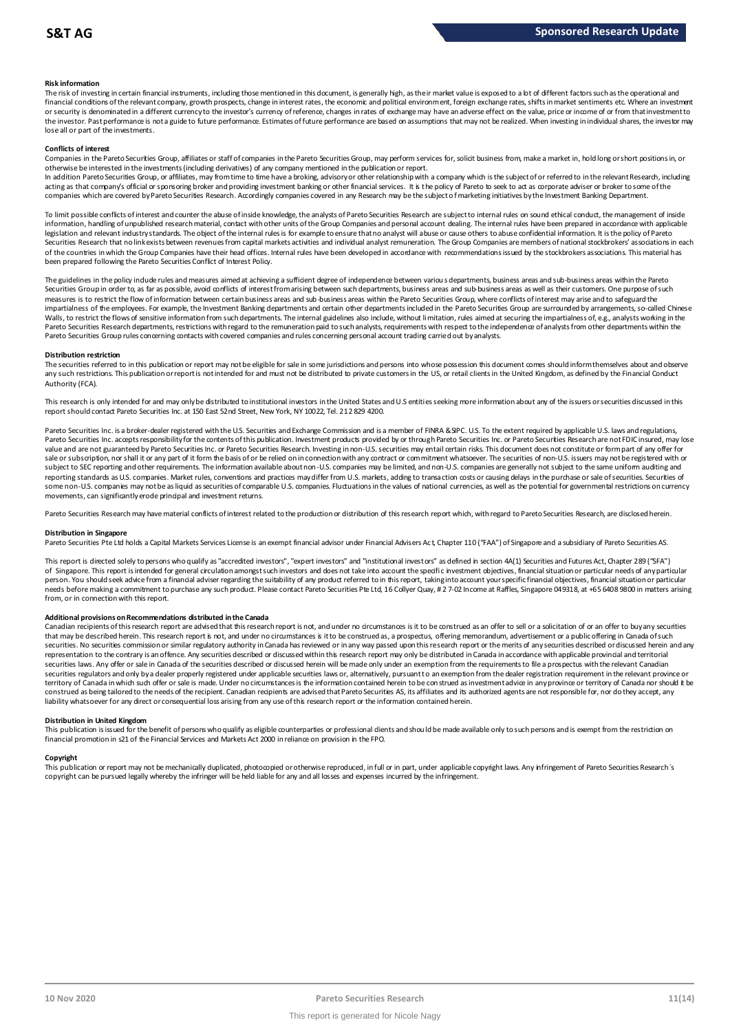### **Risk information**

The risk of investing in certain financial instruments, including those mentioned in this document, is generally high, as their market value is exposed to a lot of different factors such as the operational and financial conditions of the relevant company, growth prospects, change in interest rates, the economic and political environment, foreign exchange rates, shifts in market sentiments etc. Where an investment met.<br>or securit the investor. Past performance is not a guide to future performance. Estimates of future performance are based on assumptions that may not be realized. When investing in individual shares, the investor may lose all or part of the investments.

### **Conflicts of interest**

Companies in the Pareto Securities Group, affiliates or staff of companies in the Pareto Securities Group, may perform services for, solicit business from, make a market in, hold long or short positions in, or otherwise be interested in the investments (including derivatives) of any company mentioned in the publication or report.

In addition Pareto Securities Group, or affiliates, may from time to time have a broking, advisory or other relationship with a company which is the subject of or referred to in the relevant Research, including acting as that company's official or sponsoring broker and providing investment banking or other financial services. It is the policy of Pareto to seek to act as corporate adviser or broker to some of the<br>companies which a

To limit possible conflicts of interest and counter the abuse of inside knowledge, the analysts of Pareto Securities Research are subject to internal rules on sound ethical conduct, the management of inside<br>information, ha legislation and relevant industry standards. The object of the internal rules is for example to ensure that no analyst will abuse or cause others to abuse confidential information. It is the policy of Pareto Securities Research that no link exists between revenues from capital markets activities and individual analyst remuneration. The Group Companies are members of national stockbrokers' associations in each of the countries in which the Group Companies have their head offices. Internal rules have been developed in accordance with recommendations issued by the stockbrokers associations. This material has been prepared following the Pareto Securities Conflict of Interest Policy.

The guidelines in the policy indude rules and measures aimed at achieving a sufficient degree of independence between variou s departments, business areas and sub-business areas within the Pareto Securities Group in order to, as far as possible, avoid conflicts of interest from arising between such departments, business areas and sub-business areas as well as their customers. One purpose of such measures is to restrict the flow of information between certain business areas and sub-business areas within the Pareto Securities Group, where conflicts of interest may arise and to safeguard the impartialness of the empl The guidelines in the policy indude rules and measures aimed at achieving a sufficient degree of independence between various departments, business areas and sub-business areas within the Pareto<br>Securities Group in order t Pareto Securities Group rules concerning contacts with covered companies and rules concerning personal account trading carried out by analysts.

### **Distribution restriction**

The securities referred to in this publication or report may not be eligible for sale in some jurisdictions and persons into whose possession this document comes should inform themselves about and observe Pareto Securities Group rules concerning contacts with covered companies and rules concerning personal account trading carried out by analysts.<br>Distribution restriction<br>The securities referred to in this publication or rep Authority (FCA).

This research is only intended for and may only be distributed to institutional investors in the United States and U.S entities seeking more information about any of the issuers or securities discussed in this report should contact Pareto Securities Inc. at 150 East 52nd Street, New York, NY 10022, Tel. 212 829 4200.

Pareto Securities Inc. is a broker-dealer registered with the U.S. Securities and Exchange Commission and is a member of FINRA & SPC. U.S. To the extent required by applicable U.S. laws and regulations, Pareto Securities Inc. accepts responsibility for the contents of this publication. Investment products provided by or through Pareto Securities Inc. or Pareto Securities Research are not FDIC insured, may lose value and are not guaranteed by Pareto Securities Inc. or Pareto Securities Research. Investing in non-U.S. securities may entail certain risks. This document does not constitute or form part of any offer for sale or subscription, nor shall it or any part of it form the basis of or be relied on in connection with any contract or commitment whatsoever. The securities of non-U.S. issuers may not be registered with or subject to SEC reporting and other requirements. The information available about non-U.S. companies may be limited, and non-U.S. companies are generally not subject to the same uniform auditing and subject to the same unif reporting standards as U.S. companies. Market rules, conventions and practices may differ from U.S. markets, adding to transaction costs or causing delays in the purchase or sale of securities. Securities of some non-U.S. companies may not be as liquid as securities of comparable U.S. companies. Fluctuations in the values of national currencies, as well as the potential for governmental restrictions on currency movements, can significantly erode principal and investment returns.

Pareto Securities Research may have material conflicts of interest related to the production or distribution of this research report which, with regard to Pareto Securities Research, are disclosed herein.

### **Distribution in Singapore**

Pareto Securities Pte Ltd holds a Capital Markets Services License is an exempt financial advisor under Financial Advisers Act, Chapter 110 ("FAA") of Singapore and a subsidiary of Pareto Securities AS.

This report is directed solely to persons who qualify as "accredited investors", "expert investors" and "institutional investors" as defined in section 4A(1) Securities and Futures Act, Chapter 289 ("SFA") Distribution in Singapore<br>Pareto Securities Pte Ltd holds a Capital Markets Services License is an exempt financial advisor under Financial Advisers Act, Chapter 110 ("FAA") of Singapore and a subsidiary of Pareto Securiti person. You should seek advice from a financial adviser regarding the suitability of any product referred to in this report, taking into account your specific financial objectives, financial situation or particular needs before making a commitment to purchase any such product. Please contact Pareto Securities Pte Ltd, 16 Collyer Quay, # 2 7-02 Income at Raffles, Singapore 049318, at +65 6408 9800 in matters arising from, or in connection with this report.

Additional provisions on Recommendations distributed in the Canada<br>Canadian recipients of this research report are advised that this research report is not, and under no circumstances is it to be construed as an offer to s needs before making a commitment to purchase any such product. Please contact Pareto Securities Pte Ltd, 16 Collyer Quay, # 2 7-02 Income at Raffles, Singapore 049318, at +65 6408 9800 in matters arisin<br>from, or in connect from, or in connection with this report.<br>Additional provisions on Recommendations distributed in the Canada<br>Canadian recipients of this research report are advised that this research report is not, and under no circumstanc securities. No securities commission or similar regulatory authority in Canada has reviewed or in any way passed upon this research report or the merits of any securities described or discussed herein and any representation to the contrary is an offence. Any securities described or discussed within this research report may only be distributed in Canada in accordance with applicable provincial and territorial<br>securities laws. An securities regulators and only bya dealer properly registered under applicable securities laws or, alternatively, pursuant to an exemption from the dealer registration requirement in the relevant province or territory of Canada in which such offer or sale is made. Under no circumstances is the information contained herein to be construed as investment advice in any province or territory of Canada nor should it be construed as being tailored to the needs of the recipient. Canadian redpients are advised that Pareto Securities AS, its affiliates and its authorized agents are not responsible for, nor do they accept, any liability whatsoever for any direct or consequential loss arising from any use of this research report or the information contained herein.

### **Distribution in United Kingdom**

This publication is issued for the benefit of persons who qualify as eligible counterparties or professional dients and should be made available only to such persons and is exempt from the restriction on financial promotion in s21 of the Financial Services and Markets Act 2000 in reliance on provision in the FPO.

### **Copyright**

This publication or report may not be mechanically duplicated, photocopied or otherwise reproduced, in full or in part, under applicable copyright laws. Any infringement of Pareto Securities Research's copyright can be pursued legally whereby the infringer will be held liable for any and all losses and expenses incurred by the infringement.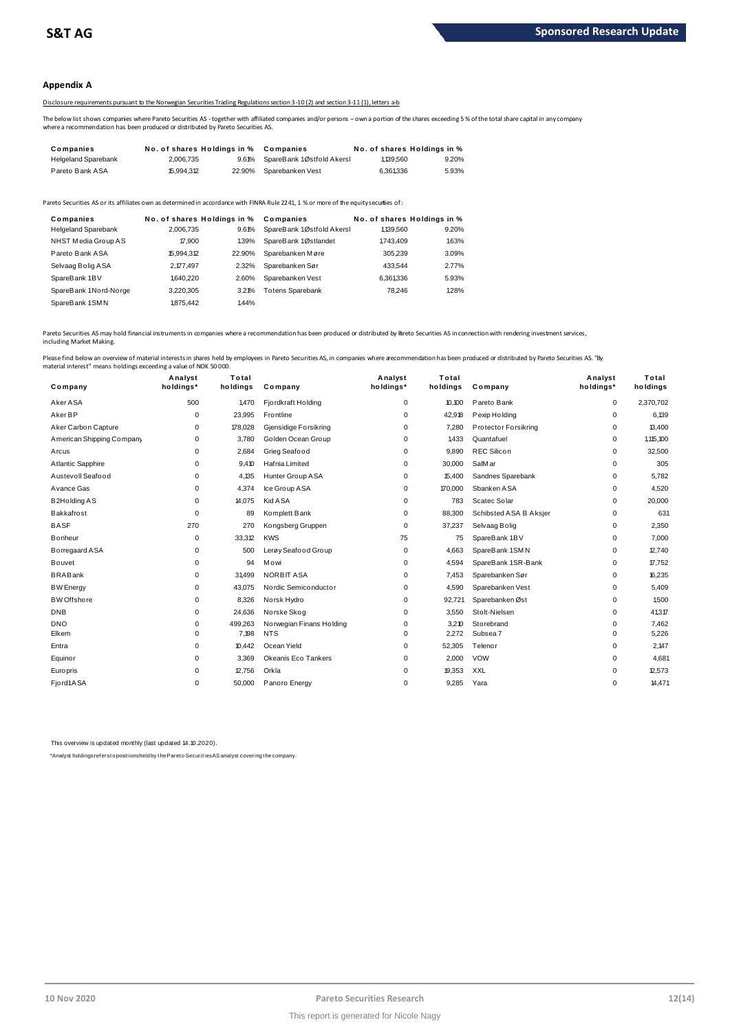## **Appendix A**

# Disclosure requirements pursuant to the Norwegian Securities Trading Regulations section 3-10 (2) and section 3-11 (1), letters a-b

The below list shows companies where Pareto Securities AS - together with affiliated companies and/or persons – own a portion of the shares exceeding 5 % of the total share capital in any company<br>where a recommendation has

|                                                                                  |                             |        | Disclosure requirements pursuant to the Norwegian Securities Trading Regulations section 3-10(2) and section 3-11(1). letters a-b                     |           |                             |
|----------------------------------------------------------------------------------|-----------------------------|--------|-------------------------------------------------------------------------------------------------------------------------------------------------------|-----------|-----------------------------|
| where a recommendation has been produced or distributed by Pareto Securities AS. |                             |        | The below list shows companies where Pareto Securities AS-together with affiliated companies and/or persons – own a portion of the shares exceeding 5 |           |                             |
| Companies                                                                        | No. of shares Holdings in % |        | Companies                                                                                                                                             |           | No. of shares Holdings in % |
| <b>Helgeland Sparebank</b>                                                       | 2.006.735                   | 9.61%  | SpareBank 1Østfold Akersl                                                                                                                             | 1.139.560 | 9.20%                       |
| Pareto Bank ASA                                                                  | 15.994.312                  | 22.90% | Sparebanken Vest                                                                                                                                      | 6.361.336 | 5.93%                       |

| <b>Falciu Dalin AUA</b>                                                                                                               | 10.994.0 L                  | 22.JU / 0 | <b>OVAIGVAIINGII VESL</b> | <b>U.JU I.JJU</b> | J.JJ 70                     |
|---------------------------------------------------------------------------------------------------------------------------------------|-----------------------------|-----------|---------------------------|-------------------|-----------------------------|
| Pareto Securities AS or its affiliates own as determined in accordance with FINRA Rule 2241, 1 % or more of the equity securiies of : |                             |           |                           |                   |                             |
| Companies                                                                                                                             | No. of shares Holdings in % |           | Companies                 |                   | No. of shares Holdings in % |
| <b>Helgeland Sparebank</b>                                                                                                            | 2.006.735                   | 9.61%     | SpareBank 1Østfold Akersl | 1,139,560         | 9.20%                       |
| NHST Media Group AS                                                                                                                   | 17,900                      | 1.39%     | SpareBank 1Østlandet      | 1743.409          | 1.63%                       |
| Pareto Bank ASA                                                                                                                       | 15.994.312                  | 22.90%    | Sparebanken Møre          | 305.239           | 3.09%                       |
| Selvaag Bolig ASA                                                                                                                     | 2.177.497                   | 2.32%     | Sparebanken Sør           | 433.544           | 2.77%                       |
| SpareBank 1BV                                                                                                                         | 1,640,220                   | 2.60%     | Sparebanken Vest          | 6,361,336         | 5.93%                       |
| SpareBank 1Nord-Norge                                                                                                                 | 3.220.305                   | 3.21%     | <b>Totens Sparebank</b>   | 78.246            | 1.28%                       |
| SpareBank 1SMN                                                                                                                        | 1875.442                    | 1.44%     |                           |                   |                             |
|                                                                                                                                       |                             |           |                           |                   |                             |

Pareto Securities AS may hold financial instruments in companies where a recommendation has been produced or distributed by Pareto Securities AS in connection with rendering investment services, including Market Making.

| Company                   | Analyst<br>holdings* | Total<br>holdings | Company                  | Analyst<br>holdings* | Total<br>holdings | Company                | Analyst<br>holdings* | Total<br>holdings |
|---------------------------|----------------------|-------------------|--------------------------|----------------------|-------------------|------------------------|----------------------|-------------------|
| Aker ASA                  | 500                  | 1,470             | Fjordkraft Holding       | 0                    | 10,100            | Pareto Bank            | 0                    | 2,370,702         |
| Aker BP                   | 0                    | 23,995            | Frontline                | 0                    | 42,918            | Pexip Holding          | 0                    | 6,139             |
| Aker Carbon Capture       | 0                    | 178,028           | Gjensidige Forsikring    | 0                    | 7,280             | Protector Forsikring   | 0                    | 13,400            |
| American Shipping Company | 0                    | 3,780             | Golden Ocean Group       | $\Omega$             | 1,433             | Quantafuel             | 0                    | 1,115,100         |
| Arcus                     | 0                    | 2,684             | Grieg Seafood            | 0                    | 9,890             | <b>REC Silicon</b>     | 0                    | 32,500            |
| Atlantic Sapphire         | 0                    | 9,410             | Hafnia Limited           | $\Omega$             | 30,000            | SalMar                 | 0                    | 305               |
| Austevoll Seafood         | 0                    | 4,135             | Hunter Group ASA         | 0                    | 15,400            | Sandnes Sparebank      | 0                    | 5,782             |
| Avance Gas                | 0                    | 4,374             | Ice Group ASA            | 0                    | 170,000           | Sbanken ASA            | 0                    | 4,520             |
| <b>B2Holding AS</b>       | 0                    | 14,075            | Kid A SA                 | 0                    | 783               | Scatec Solar           | 0                    | 20,000            |
| Bakkafrost                | $\Omega$             | 89                | Komplett Bank            | 0                    | 88,300            | Schibsted ASA B Aksjer | 0                    | 631               |
| <b>BASF</b>               | 270                  | 270               | Kongsberg Gruppen        | 0                    | 37,237            | Selvaag Bolig          | 0                    | 2,350             |
| Bonheur                   | 0                    | 33,312            | <b>KWS</b>               | 75                   | 75                | SpareBank 1BV          | 0                    | 7,000             |
| Borregaard ASA            | 0                    | 500               | Lerøy Seafood Group      | 0                    | 4,663             | SpareBank 1SMN         | 0                    | 12,740            |
| Bouvet                    | $\Omega$             | 94                | Mowi                     | 0                    | 4,594             | SpareBank 1SR-Bank     | 0                    | 17,752            |
| <b>BRABank</b>            | $\Omega$             | 31,499            | NORBIT ASA               | $\Omega$             | 7,453             | Sparebanken Sør        | 0                    | 16,235            |
| <b>BW</b> Energy          | 0                    | 43,075            | Nordic Semiconductor     | 0                    | 4,590             | Sparebanken Vest       | 0                    | 5,409             |
| <b>BW</b> Offshore        | 0                    | 8,326             | Norsk Hydro              | 0                    | 92,721            | Sparebanken Øst        | 0                    | 1,500             |
| <b>DNB</b>                | 0                    | 24,636            | Norske Skog              | 0                    | 3,550             | Stolt-Nielsen          | 0                    | 41,317            |
| <b>DNO</b>                | 0                    | 499,263           | Norwegian Finans Holding | 0                    | 3,210             | Storebrand             | 0                    | 7,462             |
| Elkem                     | $\Omega$             | 7,198             | <b>NTS</b>               | $\Omega$             | 2,272             | Subsea 7               | 0                    | 5,226             |
| Entra                     | 0                    | 10,442            | Ocean Yield              | 0                    | 52,305            | Telenor                | 0                    | 2,147             |
| Equinor                   | 0                    | 3,369             | Okeanis Eco Tankers      | 0                    | 2,000             | <b>VOW</b>             | 0                    | 4,681             |
| Europris                  | 0                    | 12,756            | Orkla                    | 0                    | 19,353            | <b>XXL</b>             | 0                    | 12,573            |
| Fjord1ASA                 | $\Omega$             | 50,000            | Panoro Energy            | 0                    | 9,285             | Yara                   | 0                    | 14,471            |

This overview is updated monthly (last updated 14.10.2020).

\*Analyst holdings ref ers t o posit ions held by t he Paret o Securit ies AS analyst covering t he company.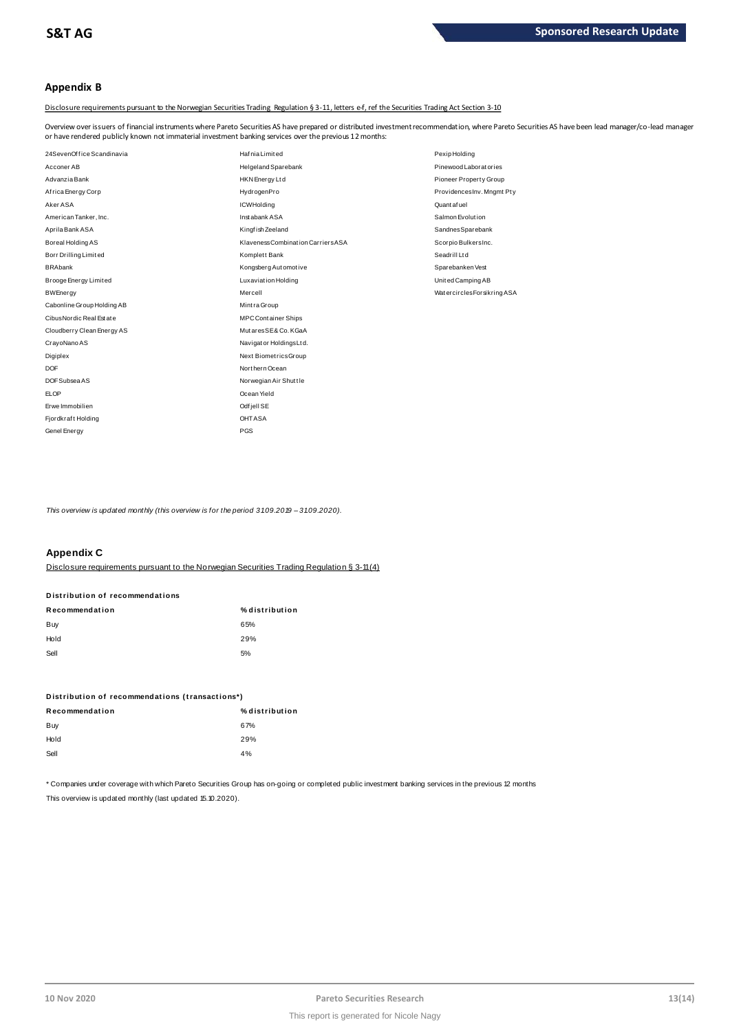# **Appendix B**

Disclosure requirements pursuant to the Norwegian Securities Trading Regulation § 3-11, letters e-f, ref the Securities Trading Act Section 3-10

Overview over issuers of financial instruments where Pareto Securities AS have prepared or distributed investment recommendation, where Pareto Securities AS have been lead manager/co-lead manager<br>or have rendered publicly

| or have rendered publicly known not immaterial investment banking services over the previous 12 months: |                                    |                            |  |  |
|---------------------------------------------------------------------------------------------------------|------------------------------------|----------------------------|--|--|
| 24SevenOffice Scandinavia                                                                               | Haf nia Limited                    | Pexip Holding              |  |  |
| Acconer AB                                                                                              | Helgeland Sparebank                | Pinewood Laboratories      |  |  |
| Advanzia Bank                                                                                           | HKN Energy Ltd                     | Pioneer Property Group     |  |  |
| Africa Energy Corp                                                                                      | HydrogenPro                        | ProvidencesInv. Mngmt Pty  |  |  |
| Aker ASA                                                                                                | <b>ICWHolding</b>                  | Quantafuel                 |  |  |
| American Tanker, Inc.                                                                                   | Inst abank ASA                     | Salmon Evolution           |  |  |
| Aprila Bank ASA                                                                                         | Kingfish Zeeland                   | SandnesSparebank           |  |  |
| Boreal Holding AS                                                                                       | Klaveness Combination Carriers ASA | Scorpio BulkersInc.        |  |  |
| Borr Drilling Limited                                                                                   | Komplett Bank                      | Seadrill Ltd               |  |  |
| <b>BRAbank</b>                                                                                          | Kongsberg Automotive               | Sparebanken Vest           |  |  |
| Brooge Energy Limited                                                                                   | Luxaviation Holding                | United Camping AB          |  |  |
| <b>BWEnergy</b>                                                                                         | Mercell                            | WatercirclesForsikring ASA |  |  |
| Cabonline Group Holding AB                                                                              | Mintra Group                       |                            |  |  |
| Cibus Nordic Real Est at e                                                                              | <b>MPC Container Ships</b>         |                            |  |  |
| Cloudberry Clean Energy AS                                                                              | MutaresSE& Co. KGaA                |                            |  |  |
| CrayoNano AS                                                                                            | Navigator Holdings Ltd.            |                            |  |  |
| Digiplex                                                                                                | Next BiometricsGroup               |                            |  |  |
| <b>DOF</b>                                                                                              | Northern Ocean                     |                            |  |  |
| DOF Subsea AS                                                                                           | Norwegian Air Shuttle              |                            |  |  |
| <b>ELOP</b>                                                                                             | Ocean Yield                        |                            |  |  |
| Erwe Immobilien                                                                                         | Odf jell SE                        |                            |  |  |
| Fjordkraft Holding                                                                                      | <b>OHTASA</b>                      |                            |  |  |
| Genel Energy                                                                                            | <b>PGS</b>                         |                            |  |  |

*This overview is updated monthly (this overview is for the period 3 1.0 9.2019 – 3 1.0 9.2020).*

# **Appendix C**

Disclosure requirements pursuant to the Norwegian Securities Trading Regulation § 3-11 (4)

| лрропата о                                                          |                |
|---------------------------------------------------------------------|----------------|
| Disclosure requirements pursuant to the Norwegian Securities Tradin |                |
| Distribution of recommendations                                     |                |
| Recommendation                                                      | % distribution |
| Buy                                                                 | 65%            |
| Hold                                                                | 29%            |
| Sell                                                                | 5%             |

| ັບທ                                             | $\mathsf{v}$   |
|-------------------------------------------------|----------------|
| Distribution of recommendations (transactions*) |                |
| Recommendation                                  | % distribution |
| Buy                                             | 67%            |
| Hold                                            | 29%            |
| Sell                                            | 4%             |
|                                                 |                |

\* Companies under coverage with which Pareto Securities Group has on-going or completed public investment banking services in the previous 12 months This overview is updated monthly (last updated 15.10.2020).